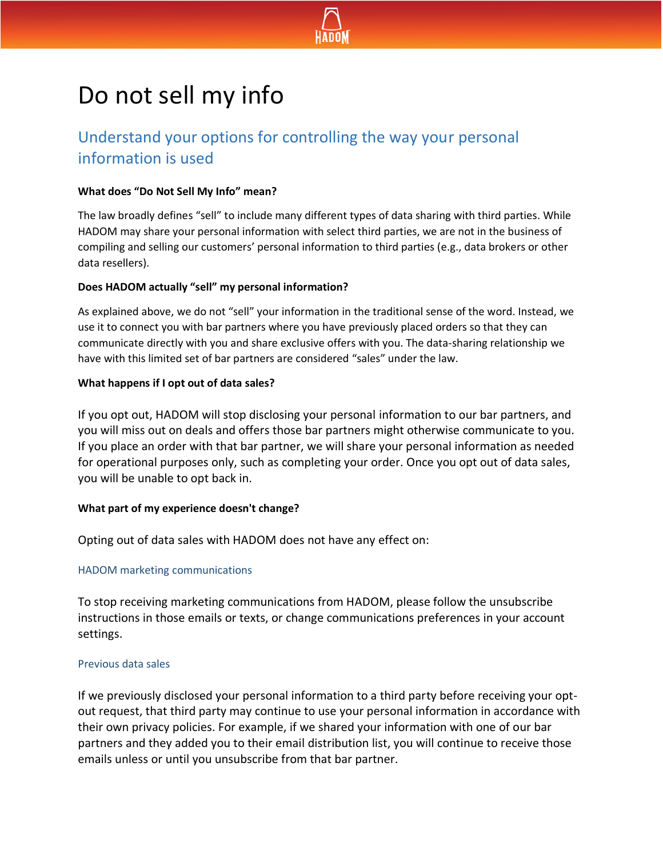

# Do not sell my info

# Understand your options for controlling the way your personal information is used

#### **What does "Do Not Sell My Info" mean?**

The law broadly defines "sell" to include many different types of data sharing with third parties. While HADOM may share your personal information with select third parties, we are not in the business of compiling and selling our customers' personal information to third parties (e.g., data brokers or other data resellers).

#### **Does HADOM actually "sell" my personal information?**

As explained above, we do not "sell" your information in the traditional sense of the word. Instead, we use it to connect you with bar partners where you have previously placed orders so that they can communicate directly with you and share exclusive offers with you. The data-sharing relationship we have with this limited set of bar partners are considered "sales" under the law.

### **What happens if I opt out of data sales?**

If you opt out, HADOM will stop disclosing your personal information to our bar partners, and you will miss out on deals and offers those bar partners might otherwise communicate to you. If you place an order with that bar partner, we will share your personal information as needed for operational purposes only, such as completing your order. Once you opt out of data sales, you will be unable to opt back in.

## **What part of my experience doesn't change?**

Opting out of data sales with HADOM does not have any effect on:

#### HADOM marketing communications

To stop receiving marketing communications from HADOM, please follow the unsubscribe instructions in those emails or texts, or change communications preferences in your account settings.

#### Previous data sales

If we previously disclosed your personal information to a third party before receiving your optout request, that third party may continue to use your personal information in accordance with their own privacy policies. For example, if we shared your information with one of our bar partners and they added you to their email distribution list, you will continue to receive those emails unless or until you unsubscribe from that bar partner.